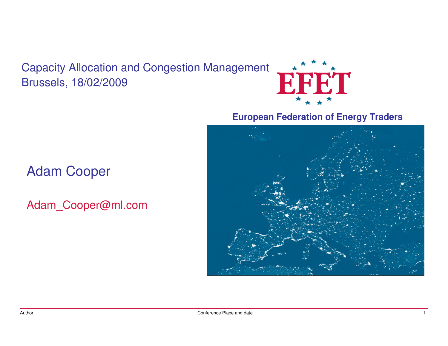Capacity Allocation and Congestion ManagementBrussels, 18/02/2009



#### **European Federation of Energy Traders**



### Adam Cooper

Adam\_Cooper@ml.com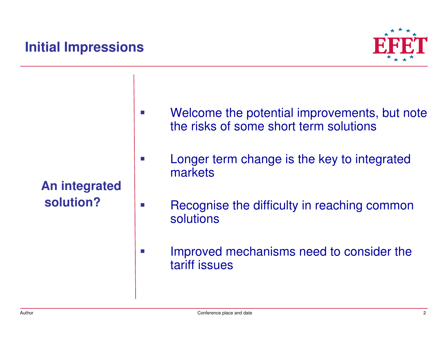## **Initial Impressions**



**An integratedsolution?**

h.

 $\sim$ 

- Welcome the potential improvements, but note the risks of some short term solutions
- m. Longer term change is the key to integrated markets
	- Recognise the difficulty in reaching common solutions
- $\mathcal{C}^{\mathcal{A}}$  Improved mechanisms need to consider the tariff issues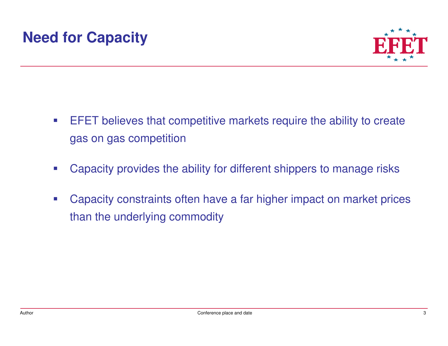

- $\mathcal{L}_{\mathcal{A}}$  EFET believes that competitive markets require the ability to create gas on gas competition
- þ. Capacity provides the ability for different shippers to manage risks
- $\mathcal{C}^{\mathcal{A}}$  Capacity constraints often have a far higher impact on market prices than the underlying commodity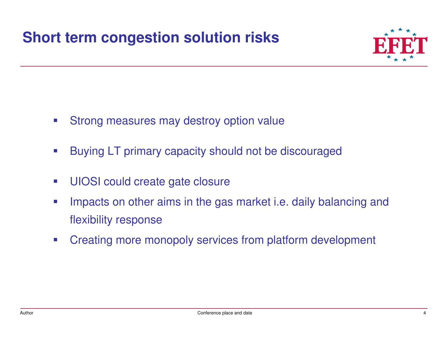## **Short term congestion solution risks**



- $\mathcal{L}^{\text{max}}$ Strong measures may destroy option value
- $\mathcal{L}^{\text{max}}$ Buying LT primary capacity should not be discouraged
- $\mathcal{L}^{\text{max}}$ UIOSI could create gate closure
- $\mathcal{C}^{\mathcal{A}}$  Impacts on other aims in the gas market i.e. daily balancing andflexibility response
- $\sim$ Creating more monopoly services from platform development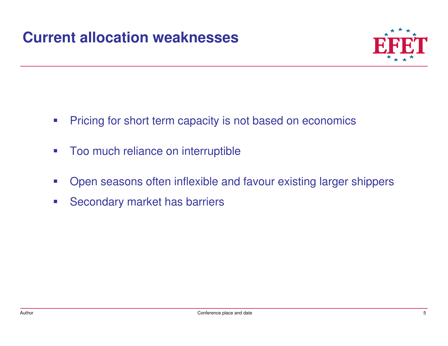

- $\mathcal{L}_{\mathcal{A}}$ Pricing for short term capacity is not based on economics
- $\mathcal{L}_{\mathcal{A}}$ Too much reliance on interruptible
- $\sim$ Open seasons often inflexible and favour existing larger shippers
- $\mathcal{L}_{\mathcal{A}}$ Secondary market has barriers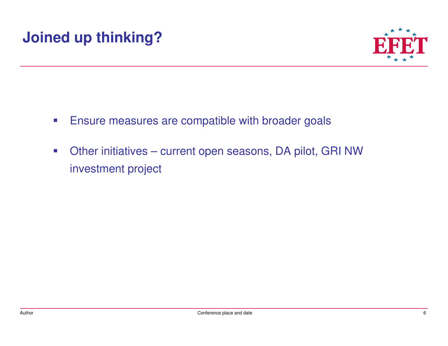# **Joined up thinking?**



- $\mathcal{L}_{\mathcal{A}}$ Ensure measures are compatible with broader goals
- $\mathcal{L}_{\mathcal{A}}$  Other initiatives – current open seasons, DA pilot, GRI NW investment project